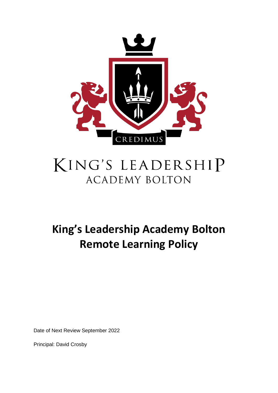

# KING'S LEADERSHIP **ACADEMY BOLTON**

# **King's Leadership Academy Bolton Remote Learning Policy**

Date of Next Review September 2022

Principal: David Crosby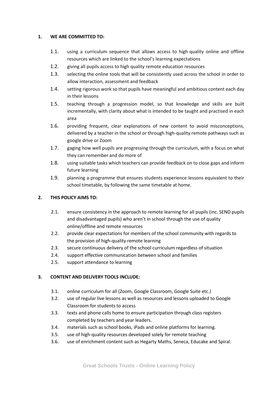#### **1. WE ARE COMMITTED TO:**

- 1.1. using a curriculum sequence that allows access to high-quality online and offline resources which are linked to the school's learning expectations
- 1.2. giving all pupils access to high quality remote education resources
- 1.3. selecting the online tools that will be consistently used across the school in order to allow interaction, assessment and feedback
- 1.4. setting rigorous work so that pupils have meaningful and ambitious content each day in their lessons
- 1.5. teaching through a progression model, so that knowledge and skills are built incrementally, with clarity about what is intended to be taught and practised in each area
- 1.6. providing frequent, clear explanations of new content to avoid misconceptions, delivered by a teacher in the school or through high-quality remote pathways such as google drive or Zoom
- 1.7. gaging how well pupils are progressing through the curriculum, with a focus on what they can remember and do more of
- 1.8. using suitable tasks which teachers can provide feedback on to close gaps and inform future learning
- 1.9. planning a programme that ensures students experience lessons equivalent to their school timetable, by following the same timetable at home.

## **2. THIS POLICY AIMS TO:**

- 2.1. ensure consistency in the approach to remote learning for all pupils (inc. SEND pupils and disadvantaged pupils) who aren't in school through the use of quality online/offline and remote resources
- 2.2. provide clear expectations for members of the school community with regards to the provision of high-quality remote learning
- 2.3. secure continuous delivery of the school curriculum regardless of situation
- 2.4. support effective communication between school and families
- 2.5. support attendance to learning

## **3. CONTENT AND DELIVERY TOOLS INCLUDE:**

- 3.1. online curriculum for all (Zoom, Google Classroom, Google Suite etc.)
- 3.2. use of regular live lessons as well as resources and lessons uploaded to Google Classroom for students to access
- 3.3. texts and phone calls home to ensure participation through class registers completed by teachers and year leaders.
- 3.4. materials such as school books, iPads and online platforms for learning.
- 3.5. use of high-quality resources developed solely for remote teaching
- 3.6. use of enrichment content such as Hegarty Maths, Seneca, Educake and Spiral.